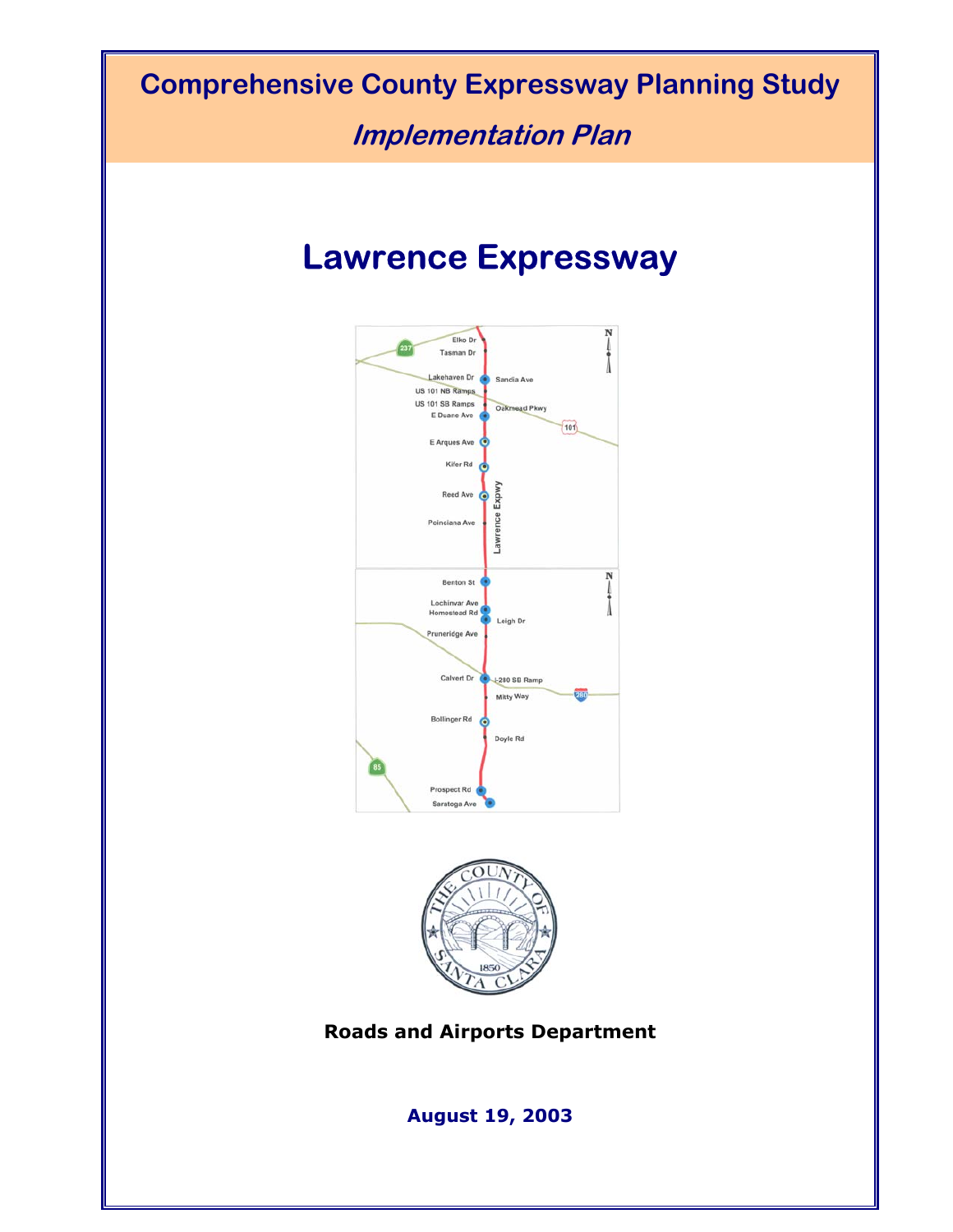# **Comprehensive County Expressway Planning Study Implementation Plan Lawrence Expressway** Elko Dr Tasman Dr Lakehaven Dr Sandia Ave US 101 NB Ramps US 101 SB Ramps Oakmead Pkwy E Duane Ave  $101$ E Arques Ave Kifer Rd Expwy Reed Ave awrence Poinciana Ave **Benton St** Lochinvar Ave Leigh Dr neridge Ave Calvert Dr ( L-280 SB Ramp Mitty Way Bollinger Rd Doyle Rd Prospect Rd Saratoga Ave **Roads and Airports Department August 19, 2003**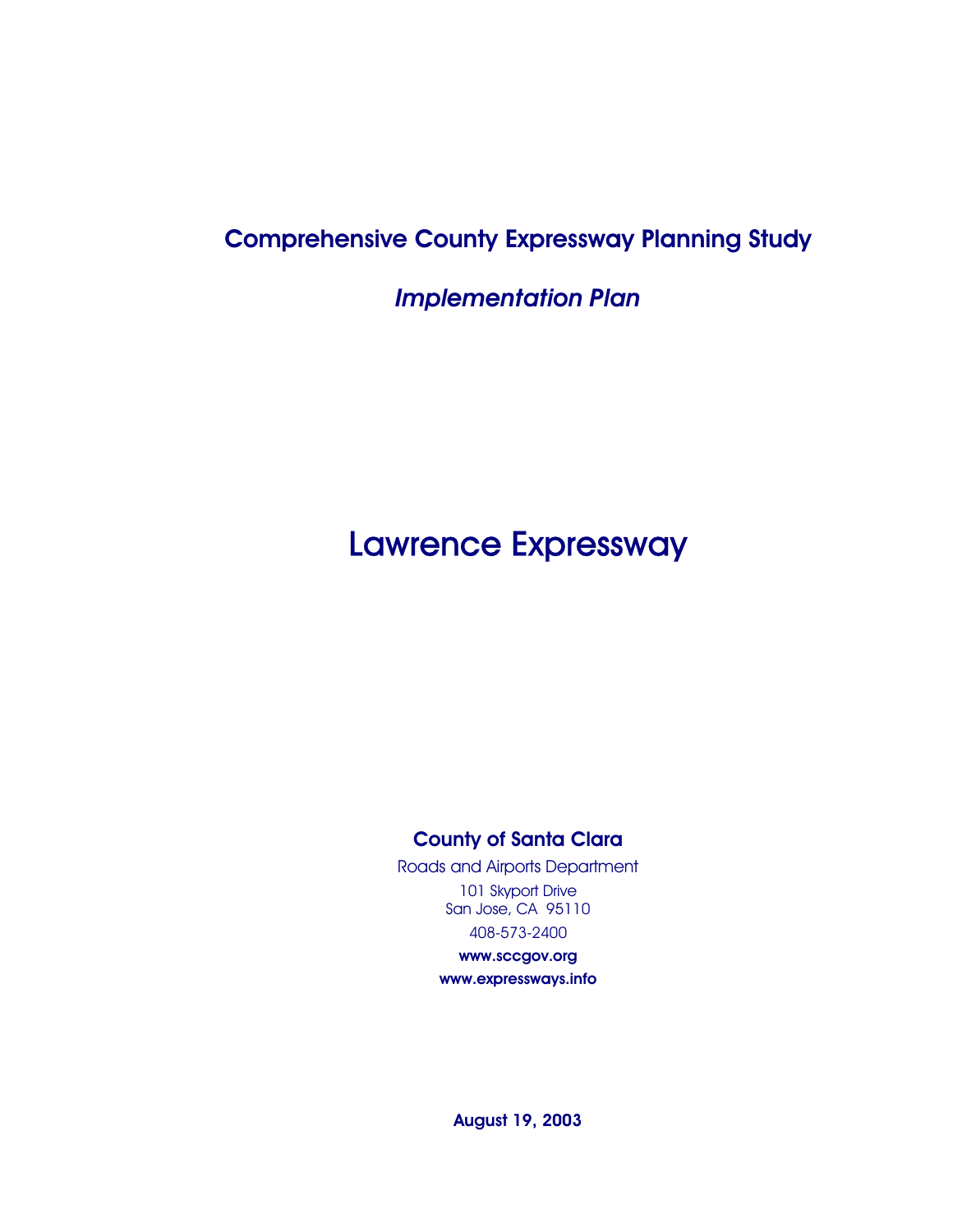## Comprehensive County Expressway Planning Study

*Implementation Plan* 

# Lawrence Expressway

## County of Santa Clara

Roads and Airports Department 101 Skyport Drive San Jose, CA 95110 408-573-2400 www.sccgov.org www.expressways.info

August 19, 2003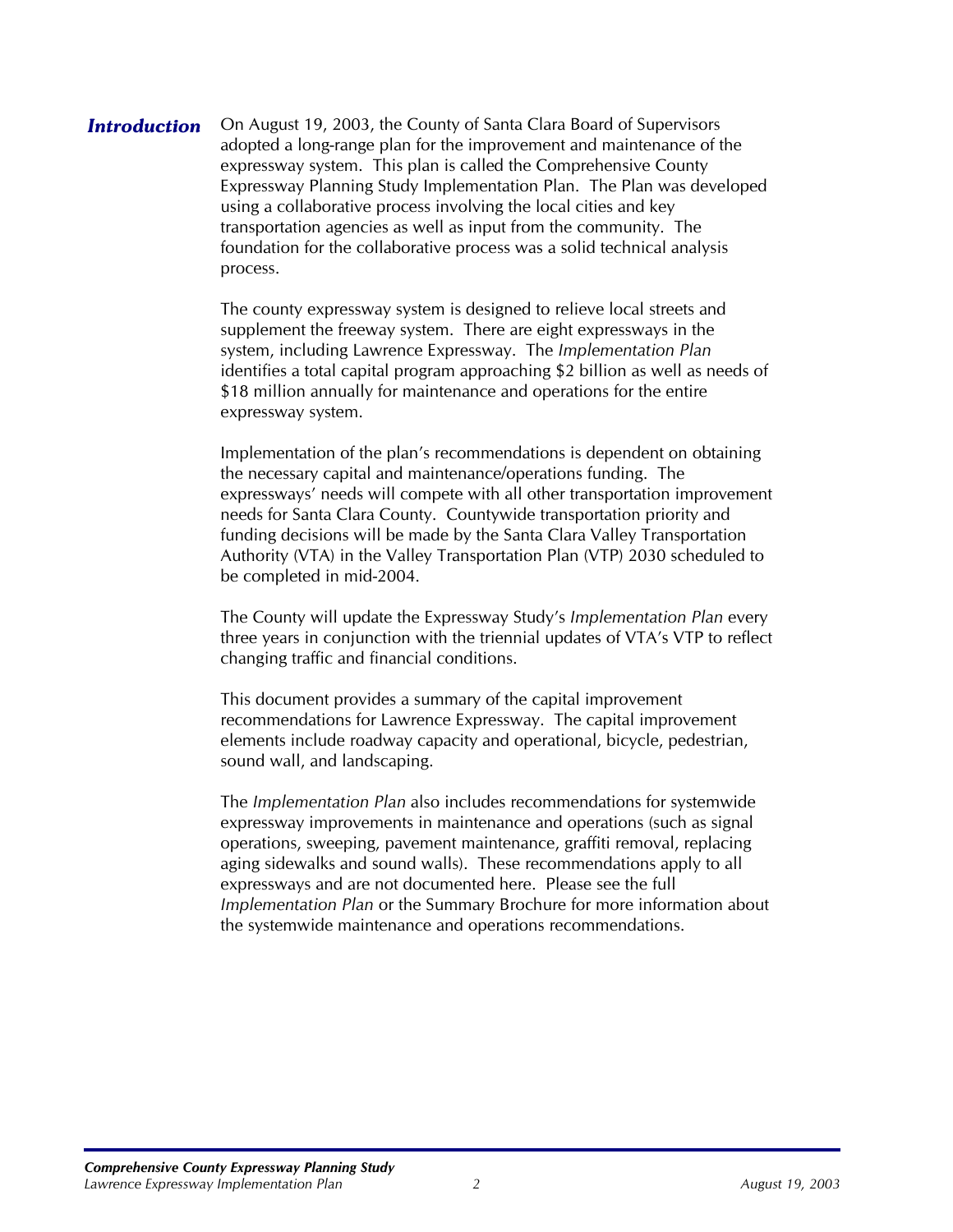**Introduction** On August 19, 2003, the County of Santa Clara Board of Supervisors adopted a long-range plan for the improvement and maintenance of the expressway system. This plan is called the Comprehensive County Expressway Planning Study Implementation Plan. The Plan was developed using a collaborative process involving the local cities and key transportation agencies as well as input from the community. The foundation for the collaborative process was a solid technical analysis process.

> The county expressway system is designed to relieve local streets and supplement the freeway system. There are eight expressways in the system, including Lawrence Expressway. The *Implementation Plan* identifies a total capital program approaching \$2 billion as well as needs of \$18 million annually for maintenance and operations for the entire expressway system.

> Implementation of the plan's recommendations is dependent on obtaining the necessary capital and maintenance/operations funding. The expressways' needs will compete with all other transportation improvement needs for Santa Clara County. Countywide transportation priority and funding decisions will be made by the Santa Clara Valley Transportation Authority (VTA) in the Valley Transportation Plan (VTP) 2030 scheduled to be completed in mid-2004.

> The County will update the Expressway Study's *Implementation Plan* every three years in conjunction with the triennial updates of VTA's VTP to reflect changing traffic and financial conditions.

This document provides a summary of the capital improvement recommendations for Lawrence Expressway. The capital improvement elements include roadway capacity and operational, bicycle, pedestrian, sound wall, and landscaping.

The *Implementation Plan* also includes recommendations for systemwide expressway improvements in maintenance and operations (such as signal operations, sweeping, pavement maintenance, graffiti removal, replacing aging sidewalks and sound walls). These recommendations apply to all expressways and are not documented here. Please see the full *Implementation Plan* or the Summary Brochure for more information about the systemwide maintenance and operations recommendations.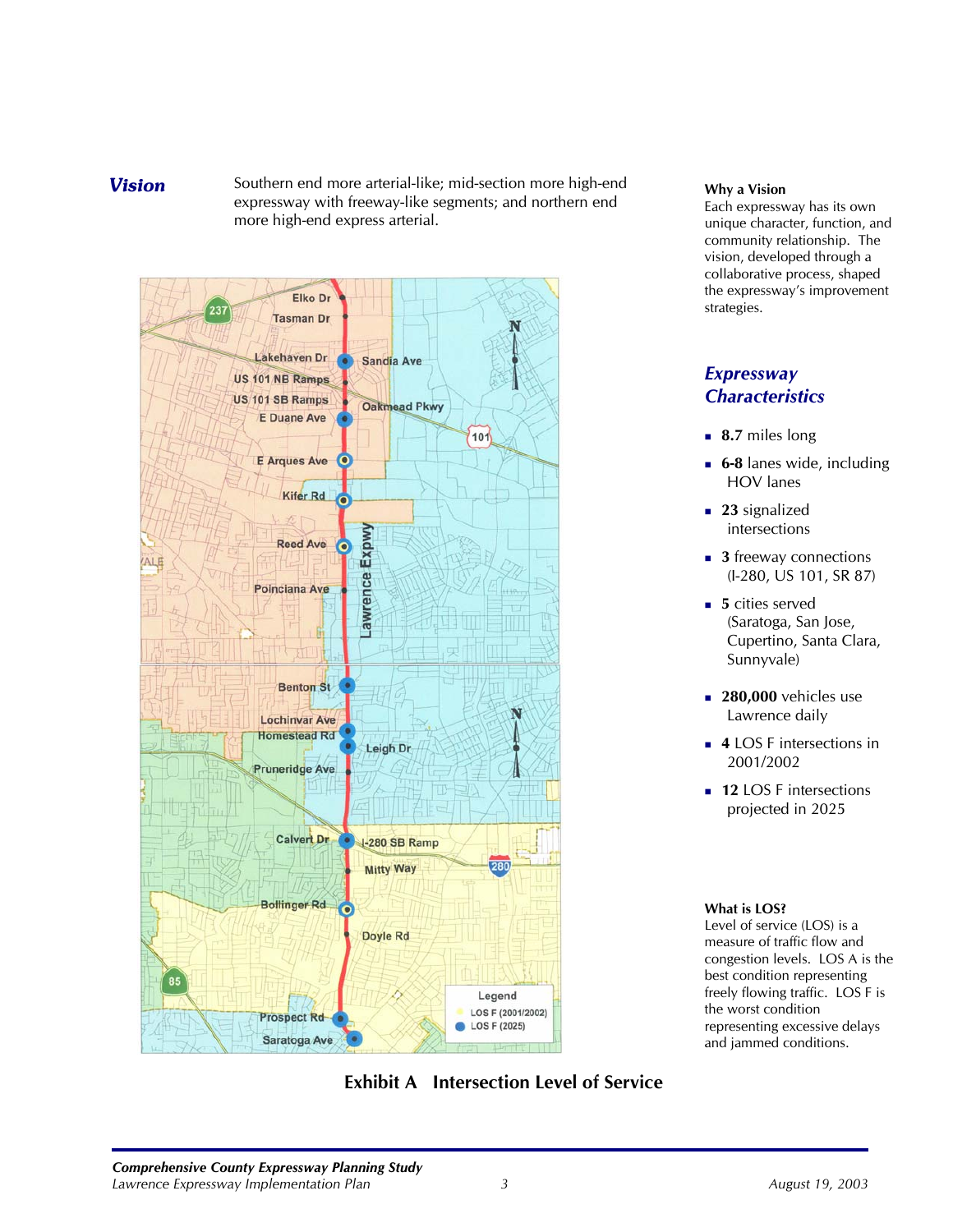#### **Vision** Southern end more arterial-like; mid-section more high-end expressway with freeway-like segments; and northern end more high-end express arterial.



#### **Why a Vision**

Each expressway has its own unique character, function, and community relationship. The vision, developed through a collaborative process, shaped the expressway's improvement strategies.

### *Expressway Characteristics*

- **8.7** miles long
- **6-8** lanes wide, including HOV lanes
- **23** signalized intersections
- **3** freeway connections (I-280, US 101, SR 87)
- **5** cities served (Saratoga, San Jose, Cupertino, Santa Clara, Sunnyvale)
- **280,000** vehicles use Lawrence daily
- **4** LOS F intersections in 2001/2002
- **12 LOS F intersections** projected in 2025

#### **What is LOS?**

Level of service (LOS) is a measure of traffic flow and congestion levels. LOS A is the best condition representing freely flowing traffic. LOS F is the worst condition representing excessive delays and jammed conditions.

## **Exhibit A Intersection Level of Service**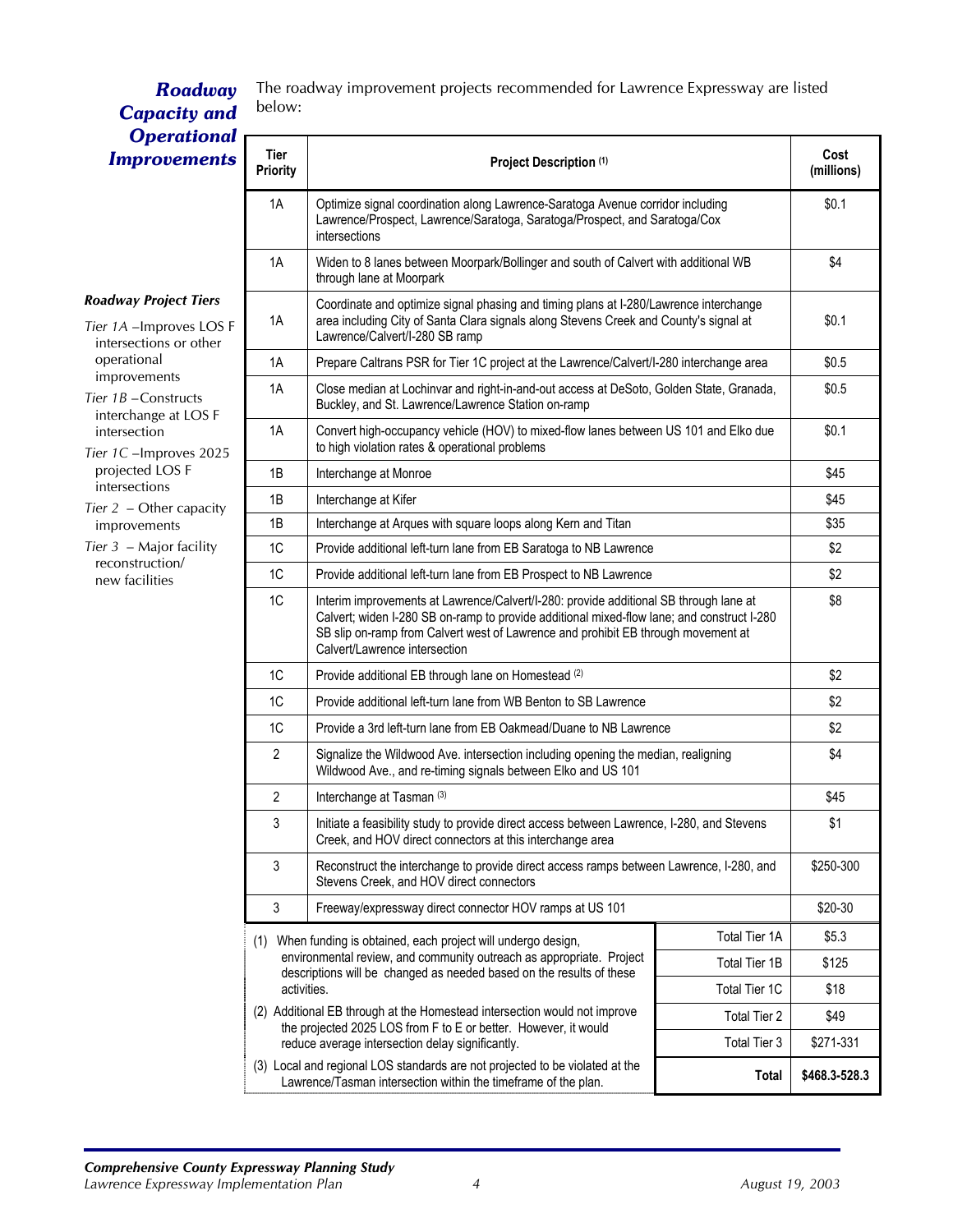#### The roadway improvement projects recommended for Lawrence Expressway are listed *Roadway* The road

## *Capacity and Operational*  **Improvements**

| <b>Operational</b><br><b>Improvements</b>                                                                                                                                                                                                                                 | Tier<br><b>Priority</b>                                                                                                                                 | Project Description (1)                                                                                                                                                                                                                                                                                   |       |               |  |
|---------------------------------------------------------------------------------------------------------------------------------------------------------------------------------------------------------------------------------------------------------------------------|---------------------------------------------------------------------------------------------------------------------------------------------------------|-----------------------------------------------------------------------------------------------------------------------------------------------------------------------------------------------------------------------------------------------------------------------------------------------------------|-------|---------------|--|
| <b>Roadway Project Tiers</b><br>Tier 1A - Improves LOS F<br>intersections or other<br>operational<br>improvements<br>Tier 1B-Constructs<br>interchange at LOS F<br>intersection<br>Tier 1C-Improves 2025<br>projected LOS F<br>intersections<br>Tier $2$ – Other capacity | 1A                                                                                                                                                      | Optimize signal coordination along Lawrence-Saratoga Avenue corridor including<br>Lawrence/Prospect, Lawrence/Saratoga, Saratoga/Prospect, and Saratoga/Cox<br>intersections                                                                                                                              |       |               |  |
|                                                                                                                                                                                                                                                                           | 1A                                                                                                                                                      | Widen to 8 lanes between Moorpark/Bollinger and south of Calvert with additional WB<br>through lane at Moorpark                                                                                                                                                                                           |       |               |  |
|                                                                                                                                                                                                                                                                           | 1A                                                                                                                                                      | Coordinate and optimize signal phasing and timing plans at I-280/Lawrence interchange<br>area including City of Santa Clara signals along Stevens Creek and County's signal at<br>Lawrence/Calvert/I-280 SB ramp                                                                                          |       |               |  |
|                                                                                                                                                                                                                                                                           | 1A                                                                                                                                                      | Prepare Caltrans PSR for Tier 1C project at the Lawrence/Calvert/I-280 interchange area                                                                                                                                                                                                                   |       |               |  |
|                                                                                                                                                                                                                                                                           | 1A                                                                                                                                                      | Close median at Lochinvar and right-in-and-out access at DeSoto, Golden State, Granada,<br>Buckley, and St. Lawrence/Lawrence Station on-ramp                                                                                                                                                             | \$0.5 |               |  |
|                                                                                                                                                                                                                                                                           | 1A                                                                                                                                                      | Convert high-occupancy vehicle (HOV) to mixed-flow lanes between US 101 and Elko due<br>to high violation rates & operational problems                                                                                                                                                                    |       |               |  |
|                                                                                                                                                                                                                                                                           | 1B                                                                                                                                                      | Interchange at Monroe                                                                                                                                                                                                                                                                                     |       |               |  |
|                                                                                                                                                                                                                                                                           | 1B                                                                                                                                                      | Interchange at Kifer                                                                                                                                                                                                                                                                                      |       |               |  |
| improvements                                                                                                                                                                                                                                                              | 1B                                                                                                                                                      | Interchange at Arques with square loops along Kern and Titan                                                                                                                                                                                                                                              |       |               |  |
| Tier $3$ – Major facility                                                                                                                                                                                                                                                 | 1C                                                                                                                                                      | Provide additional left-turn lane from EB Saratoga to NB Lawrence                                                                                                                                                                                                                                         |       |               |  |
| reconstruction/<br>new facilities                                                                                                                                                                                                                                         | 1C                                                                                                                                                      | Provide additional left-turn lane from EB Prospect to NB Lawrence                                                                                                                                                                                                                                         |       |               |  |
|                                                                                                                                                                                                                                                                           | 1C                                                                                                                                                      | Interim improvements at Lawrence/Calvert/I-280: provide additional SB through lane at<br>Calvert; widen I-280 SB on-ramp to provide additional mixed-flow lane; and construct I-280<br>SB slip on-ramp from Calvert west of Lawrence and prohibit EB through movement at<br>Calvert/Lawrence intersection |       |               |  |
|                                                                                                                                                                                                                                                                           | 1C                                                                                                                                                      | Provide additional EB through lane on Homestead (2)                                                                                                                                                                                                                                                       |       |               |  |
|                                                                                                                                                                                                                                                                           | 1C                                                                                                                                                      | Provide additional left-turn lane from WB Benton to SB Lawrence                                                                                                                                                                                                                                           |       |               |  |
|                                                                                                                                                                                                                                                                           | 1C                                                                                                                                                      | Provide a 3rd left-turn lane from EB Oakmead/Duane to NB Lawrence                                                                                                                                                                                                                                         |       |               |  |
|                                                                                                                                                                                                                                                                           | $\overline{2}$                                                                                                                                          | Signalize the Wildwood Ave. intersection including opening the median, realigning<br>Wildwood Ave., and re-timing signals between Elko and US 101                                                                                                                                                         |       |               |  |
|                                                                                                                                                                                                                                                                           | $\overline{2}$                                                                                                                                          | Interchange at Tasman (3)                                                                                                                                                                                                                                                                                 |       |               |  |
|                                                                                                                                                                                                                                                                           | 3                                                                                                                                                       | Initiate a feasibility study to provide direct access between Lawrence, I-280, and Stevens<br>Creek, and HOV direct connectors at this interchange area                                                                                                                                                   |       |               |  |
|                                                                                                                                                                                                                                                                           | 3                                                                                                                                                       | Reconstruct the interchange to provide direct access ramps between Lawrence, I-280, and<br>Stevens Creek, and HOV direct connectors                                                                                                                                                                       |       |               |  |
|                                                                                                                                                                                                                                                                           | 3                                                                                                                                                       | Freeway/expressway direct connector HOV ramps at US 101                                                                                                                                                                                                                                                   |       | \$20-30       |  |
|                                                                                                                                                                                                                                                                           |                                                                                                                                                         | Total Tier 1A<br>(1) When funding is obtained, each project will undergo design,                                                                                                                                                                                                                          |       | \$5.3         |  |
|                                                                                                                                                                                                                                                                           | environmental review, and community outreach as appropriate. Project<br><b>Total Tier 1B</b>                                                            |                                                                                                                                                                                                                                                                                                           |       | \$125         |  |
|                                                                                                                                                                                                                                                                           | descriptions will be changed as needed based on the results of these<br>Total Tier 1C<br>activities.                                                    |                                                                                                                                                                                                                                                                                                           |       |               |  |
|                                                                                                                                                                                                                                                                           | (2) Additional EB through at the Homestead intersection would not improve<br>Total Tier 2                                                               |                                                                                                                                                                                                                                                                                                           |       |               |  |
|                                                                                                                                                                                                                                                                           | the projected 2025 LOS from F to E or better. However, it would<br>Total Tier 3<br>reduce average intersection delay significantly.                     |                                                                                                                                                                                                                                                                                                           |       | \$271-331     |  |
|                                                                                                                                                                                                                                                                           | (3) Local and regional LOS standards are not projected to be violated at the<br>Total<br>Lawrence/Tasman intersection within the timeframe of the plan. |                                                                                                                                                                                                                                                                                                           |       | \$468.3-528.3 |  |

#### *Roadway Project Tiers*

| projected LOS F                           |  |
|-------------------------------------------|--|
| intersections                             |  |
| Tier $2$ – Other capacity<br>improvements |  |
| Tier $3$ – Major facility                 |  |
| reconstruction/<br>new facilities         |  |
|                                           |  |
|                                           |  |
|                                           |  |
|                                           |  |
|                                           |  |
|                                           |  |
|                                           |  |
|                                           |  |
|                                           |  |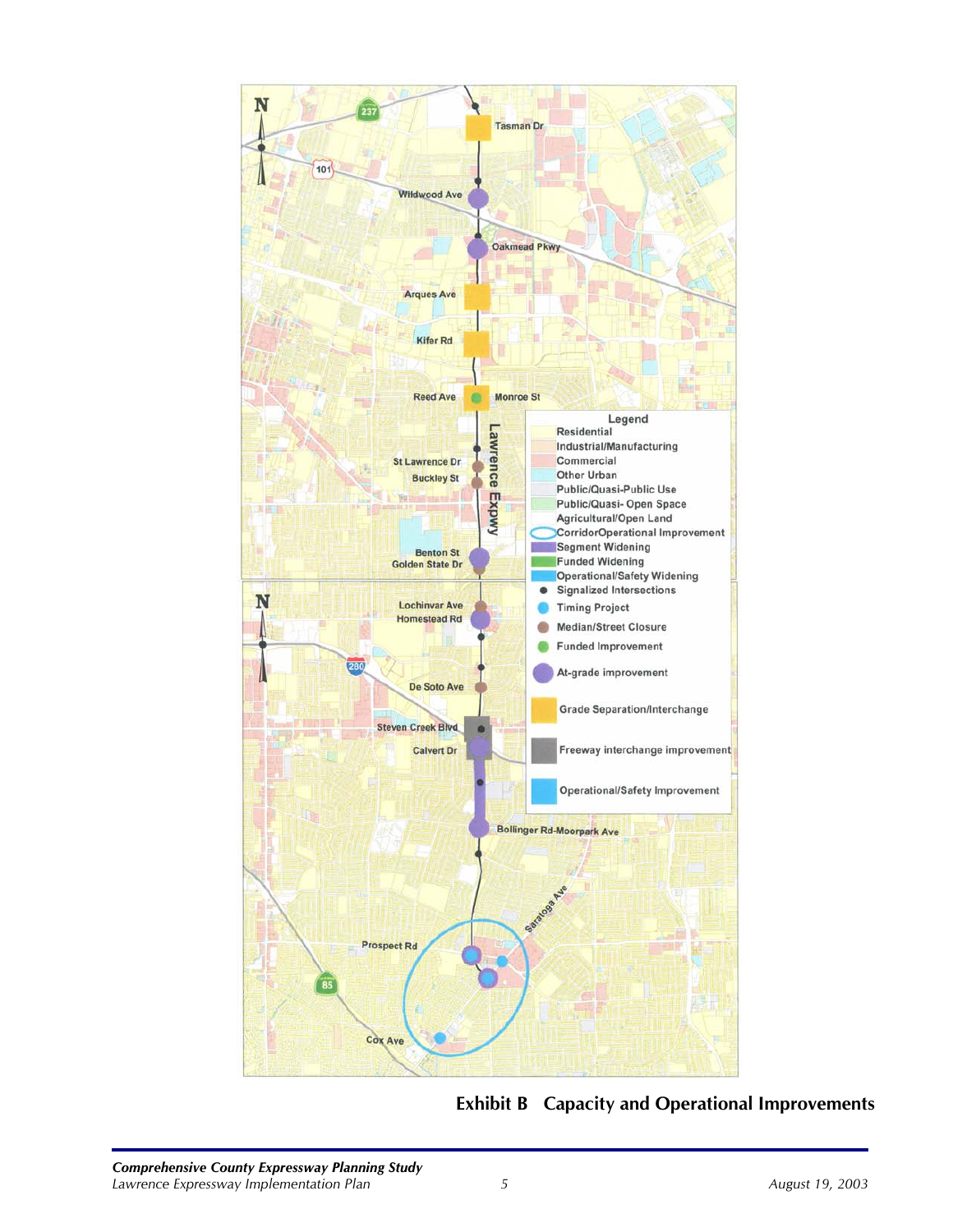

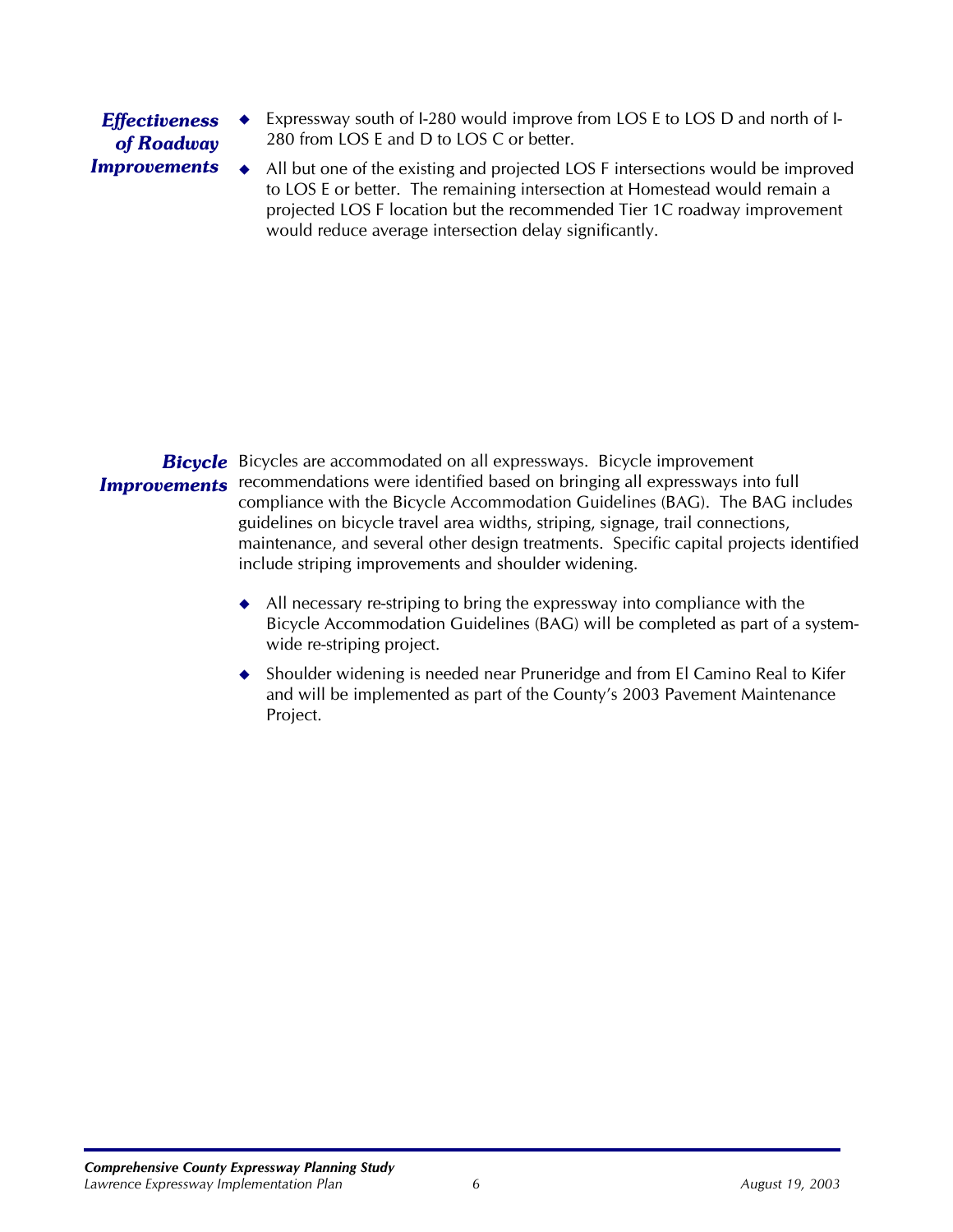## *Effectiveness of Roadway Improvements*

- $\bullet$ Expressway south of I-280 would improve from LOS E to LOS D and north of I-280 from LOS E and D to LOS C or better.
- $\blacklozenge$ All but one of the existing and projected LOS F intersections would be improved to LOS E or better. The remaining intersection at Homestead would remain a projected LOS F location but the recommended Tier 1C roadway improvement would reduce average intersection delay significantly.

**Bicycle** Bicycles are accommodated on all expressways. Bicycle improvement **Improvements** recommendations were identified based on bringing all expressways into full compliance with the Bicycle Accommodation Guidelines (BAG). The BAG includes guidelines on bicycle travel area widths, striping, signage, trail connections, maintenance, and several other design treatments. Specific capital projects identified include striping improvements and shoulder widening.

- All necessary re-striping to bring the expressway into compliance with the Bicycle Accommodation Guidelines (BAG) will be completed as part of a systemwide re-striping project.
- $\blacklozenge$ Shoulder widening is needed near Pruneridge and from El Camino Real to Kifer and will be implemented as part of the County's 2003 Pavement Maintenance Project.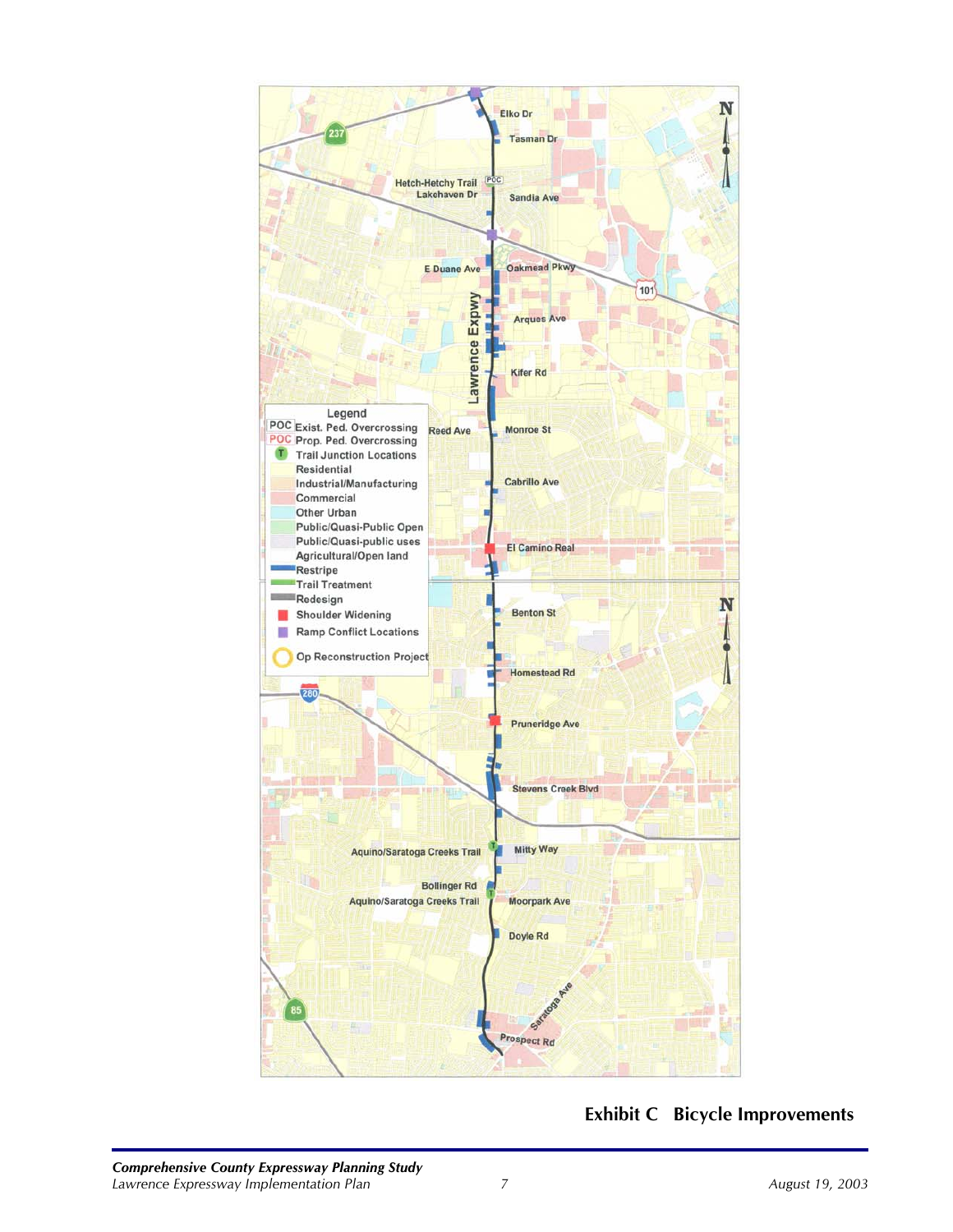

**Exhibit C Bicycle Improvements**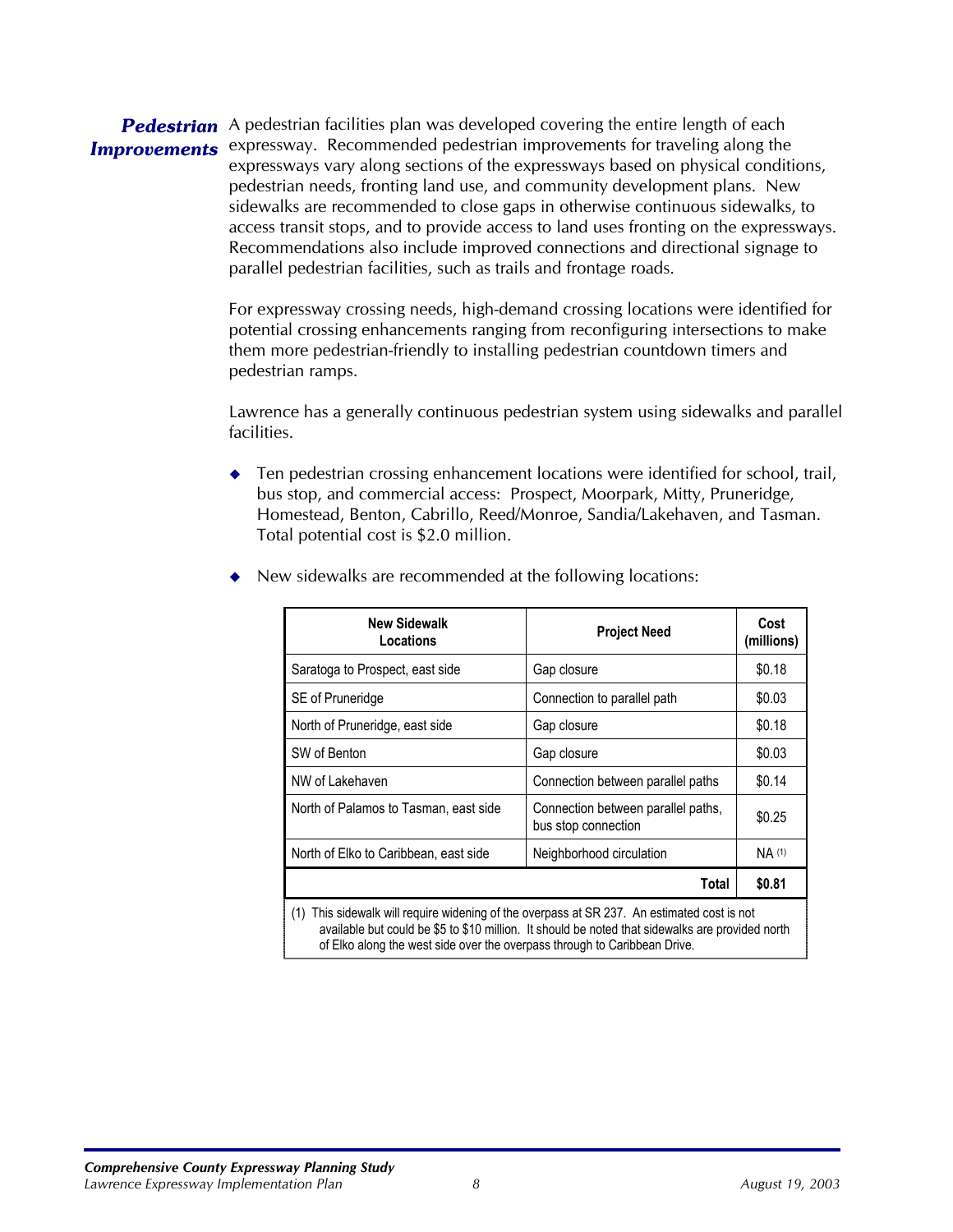#### Pedestrian A pedestrian facilities plan was developed covering the entire length of each **Improvements** expressway. Recommended pedestrian improvements for traveling along the expressways vary along sections of the expressways based on physical conditions, pedestrian needs, fronting land use, and community development plans. New sidewalks are recommended to close gaps in otherwise continuous sidewalks, to access transit stops, and to provide access to land uses fronting on the expressways. Recommendations also include improved connections and directional signage to parallel pedestrian facilities, such as trails and frontage roads.

For expressway crossing needs, high-demand crossing locations were identified for potential crossing enhancements ranging from reconfiguring intersections to make them more pedestrian-friendly to installing pedestrian countdown timers and pedestrian ramps.

Lawrence has a generally continuous pedestrian system using sidewalks and parallel facilities.

◆ Ten pedestrian crossing enhancement locations were identified for school, trail, bus stop, and commercial access: Prospect, Moorpark, Mitty, Pruneridge, Homestead, Benton, Cabrillo, Reed/Monroe, Sandia/Lakehaven, and Tasman. Total potential cost is \$2.0 million.

| New Sidewalk<br>Locations                                                                                                                                                                          | <b>Project Need</b>                                       | Cost<br>(millions) |  |
|----------------------------------------------------------------------------------------------------------------------------------------------------------------------------------------------------|-----------------------------------------------------------|--------------------|--|
| Saratoga to Prospect, east side                                                                                                                                                                    | Gap closure                                               | \$0.18             |  |
| SE of Pruneridge                                                                                                                                                                                   | Connection to parallel path                               | \$0.03             |  |
| North of Pruneridge, east side                                                                                                                                                                     | Gap closure                                               | \$0.18             |  |
| SW of Benton                                                                                                                                                                                       | Gap closure                                               | \$0.03             |  |
| NW of Lakehaven                                                                                                                                                                                    | Connection between parallel paths                         | \$0.14             |  |
| North of Palamos to Tasman, east side                                                                                                                                                              | Connection between parallel paths,<br>bus stop connection | \$0.25             |  |
| North of Elko to Caribbean, east side                                                                                                                                                              | Neighborhood circulation                                  | NA (1)             |  |
|                                                                                                                                                                                                    | Total                                                     | \$0.81             |  |
| This sidewalk will require widening of the overpass at SR 237. An estimated cost is not<br>(1)<br>available but could be \$5 to \$10 million. It should be noted that sidewalks are provided north |                                                           |                    |  |

◆ New sidewalks are recommended at the following locations:

available but could be \$5 to \$10 million. It should be noted that sidewalks are provided north of Elko along the west side over the overpass through to Caribbean Drive.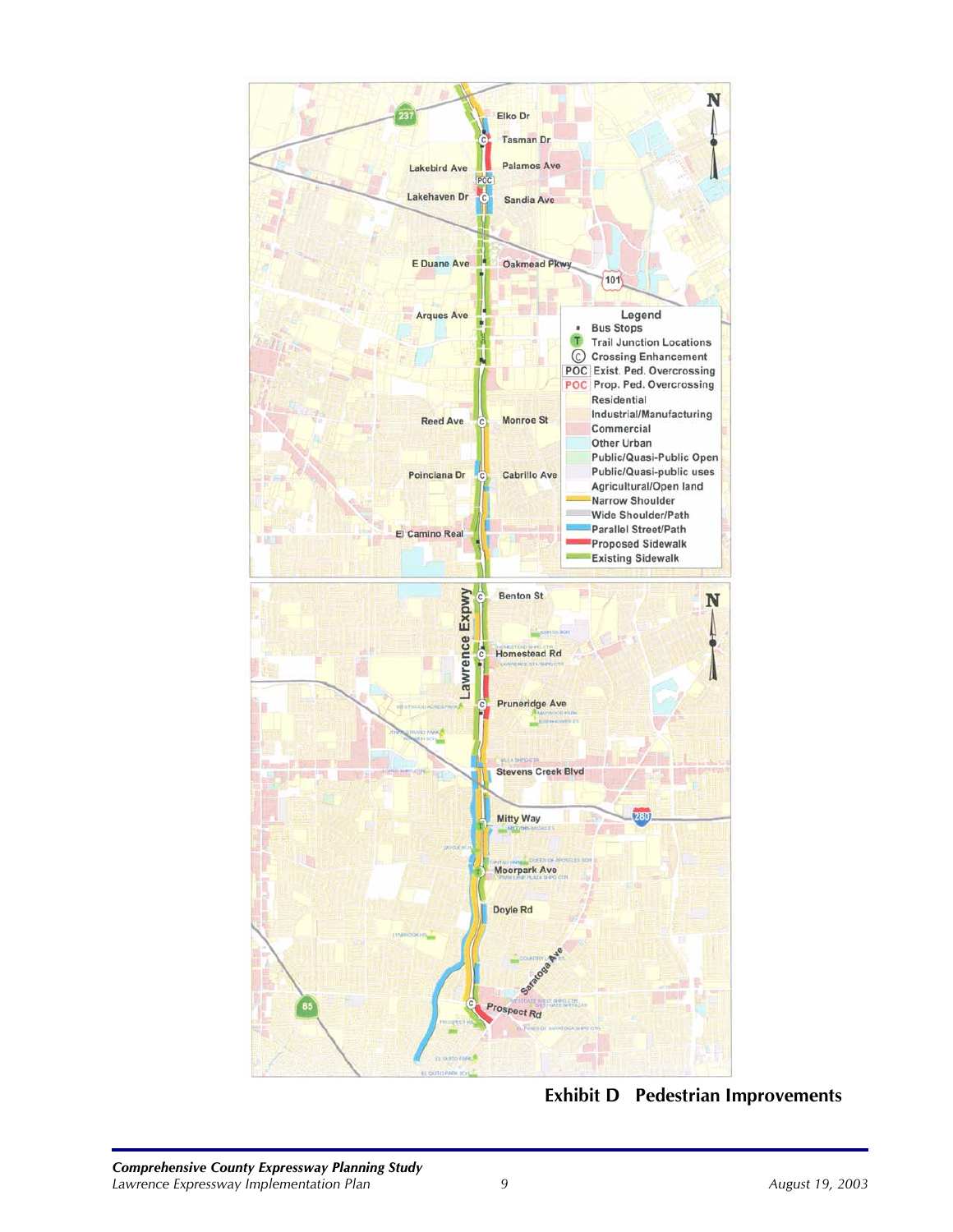

**Exhibit D Pedestrian Improvements**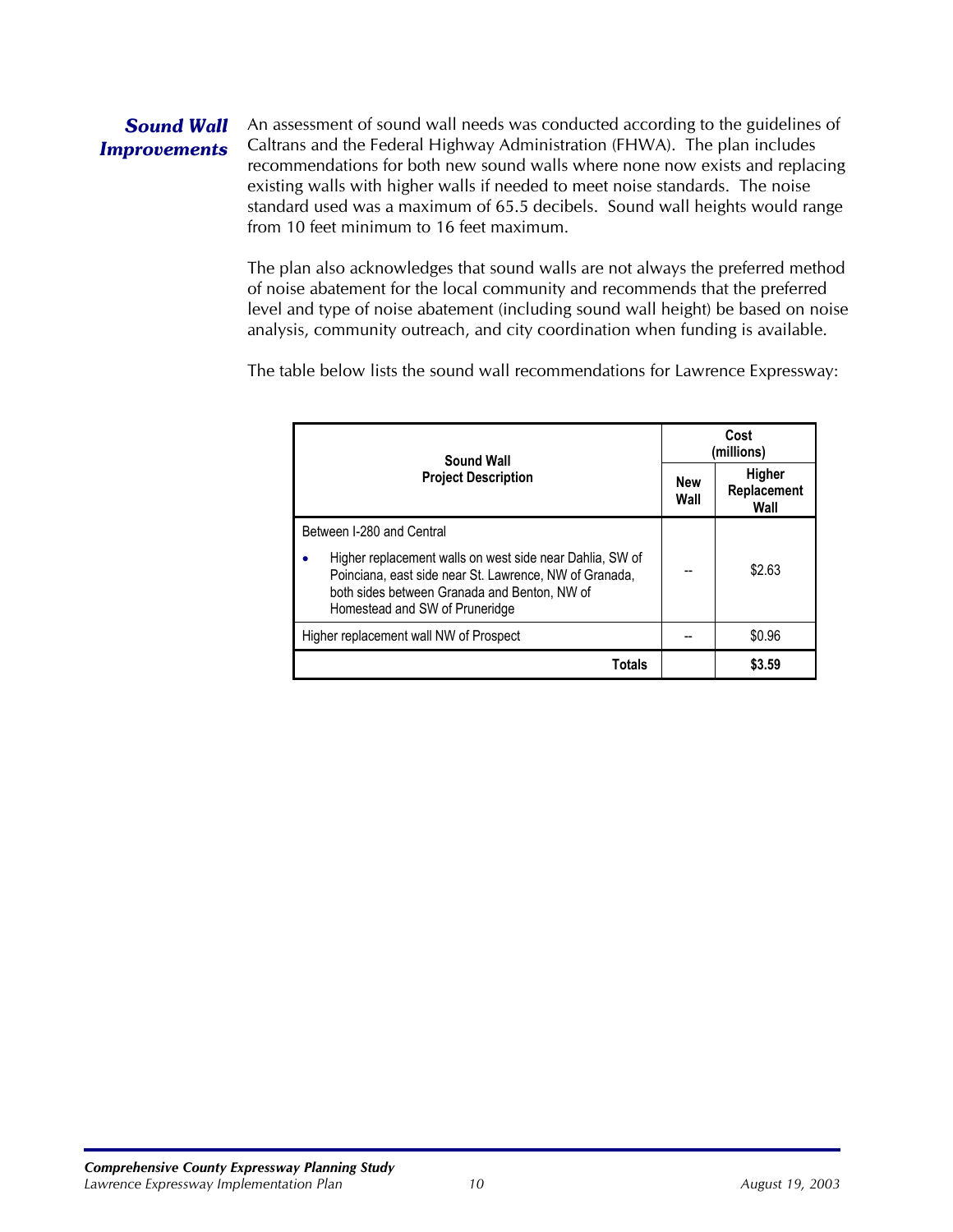## *Sound Wall Improvements*

An assessment of sound wall needs was conducted according to the guidelines of Caltrans and the Federal Highway Administration (FHWA). The plan includes recommendations for both new sound walls where none now exists and replacing existing walls with higher walls if needed to meet noise standards. The noise standard used was a maximum of 65.5 decibels. Sound wall heights would range from 10 feet minimum to 16 feet maximum.

The plan also acknowledges that sound walls are not always the preferred method of noise abatement for the local community and recommends that the preferred level and type of noise abatement (including sound wall height) be based on noise analysis, community outreach, and city coordination when funding is available.

The table below lists the sound wall recommendations for Lawrence Expressway:

| <b>Sound Wall</b><br><b>Project Description</b>                                                                                                                                                      |  | Cost<br>(millions)            |  |
|------------------------------------------------------------------------------------------------------------------------------------------------------------------------------------------------------|--|-------------------------------|--|
|                                                                                                                                                                                                      |  | Higher<br>Replacement<br>Wall |  |
| Between I-280 and Central                                                                                                                                                                            |  |                               |  |
| Higher replacement walls on west side near Dahlia, SW of<br>Poinciana, east side near St. Lawrence, NW of Granada,<br>both sides between Granada and Benton, NW of<br>Homestead and SW of Pruneridge |  | \$2.63                        |  |
| Higher replacement wall NW of Prospect                                                                                                                                                               |  | \$0.96                        |  |
| Totals                                                                                                                                                                                               |  | \$3.59                        |  |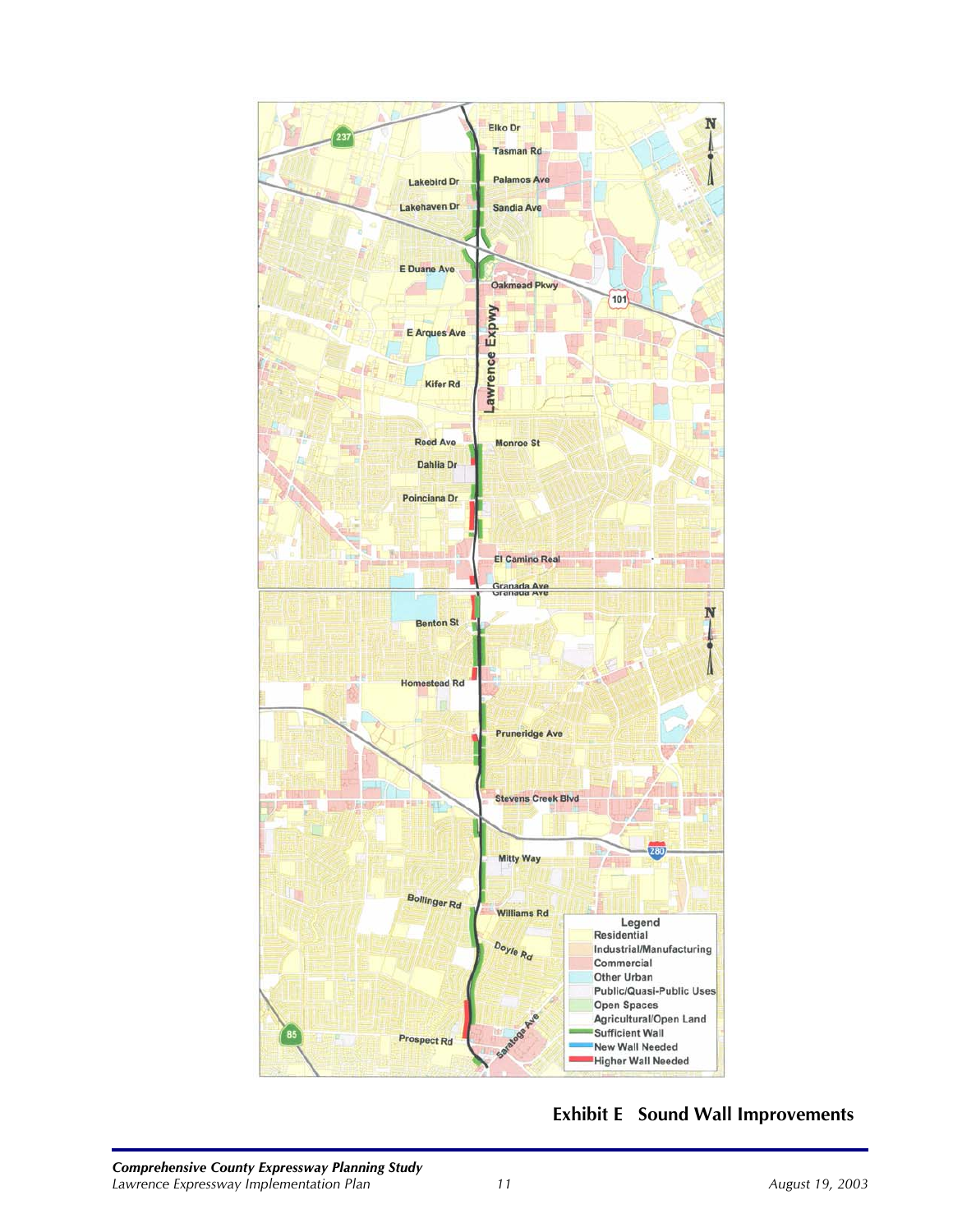

## **Exhibit E Sound Wall Improvements**